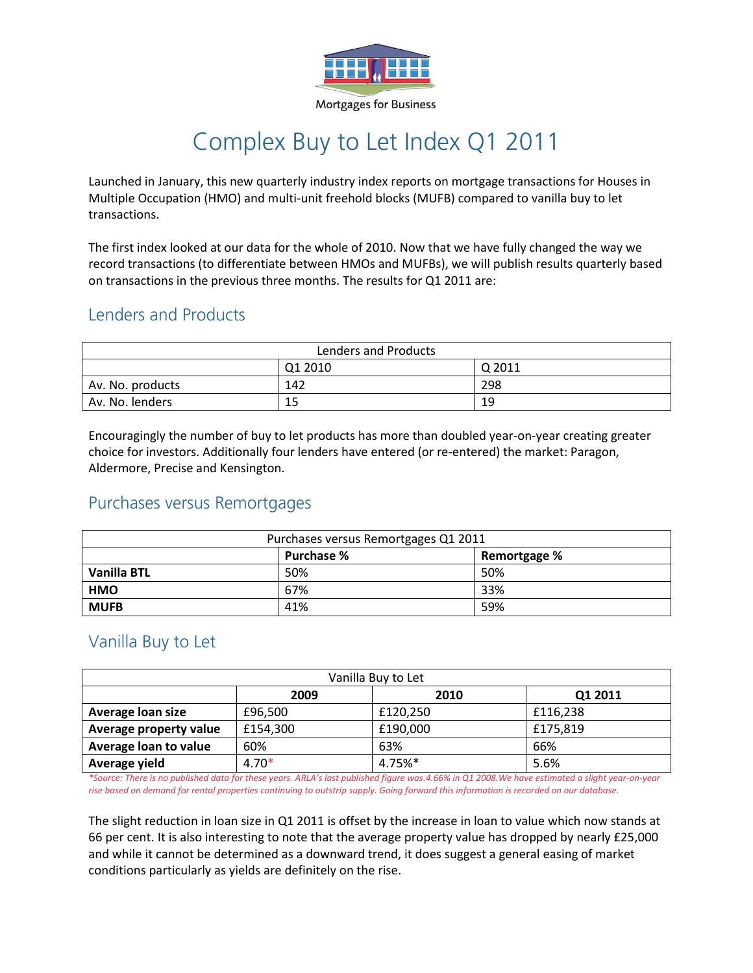

**Mortgages for Business** 

# Complex Buy to Let Index Q1 2011

Launched in January, this new quarterly industry index reports on mortgage transactions for Houses in Multiple Occupation (HMO) and multi-unit freehold blocks (MUFB) compared to vanilla buy to let transactions.

The first index looked at our data for the whole of 2010. Now that we have fully changed the way we record transactions (to differentiate between HMOs and MUFBs), we will publish results quarterly based on transactions in the previous three months. The results for Q1 2011 are:

### Lenders and Products

| Lenders and Products |         |        |  |
|----------------------|---------|--------|--|
|                      | Q1 2010 | Q 2011 |  |
| Av. No. products     | 142     | 298    |  |
| Av. No. lenders      | 15      | 19     |  |

Encouragingly the number of buy to let products has more than doubled year-on-year creating greater choice for investors. Additionally four lenders have entered (or re-entered) the market: Paragon, Aldermore, Precise and Kensington.

### Purchases versus Remortgages

| Purchases versus Remortgages Q1 2011 |                   |              |  |
|--------------------------------------|-------------------|--------------|--|
|                                      | <b>Purchase %</b> | Remortgage % |  |
| <b>Vanilla BTL</b>                   | 50%               | 50%          |  |
| <b>HMO</b>                           | 67%               | 33%          |  |
| <b>MUFB</b>                          | 41%               | 59%          |  |

### Vanilla Buy to Let

| Vanilla Buy to Let     |          |          |          |  |  |
|------------------------|----------|----------|----------|--|--|
|                        | 2009     | 2010     | Q1 2011  |  |  |
| Average loan size      | £96,500  | £120,250 | £116.238 |  |  |
| Average property value | £154,300 | £190,000 | £175,819 |  |  |
| Average loan to value  | 60%      | 63%      | 66%      |  |  |
| Average yield          | $4.70*$  | 4.75%*   | 5.6%     |  |  |

*\*Source: There is no published data for these years. ARLA's last published figure was.4.66% in Q1 2008.We have estimated a slight year-on-year rise based on demand for rental properties continuing to outstrip supply. Going forward this information is recorded on our database.*

The slight reduction in loan size in Q1 2011 is offset by the increase in loan to value which now stands at 66 per cent. It is also interesting to note that the average property value has dropped by nearly £25,000 and while it cannot be determined as a downward trend, it does suggest a general easing of market conditions particularly as yields are definitely on the rise.